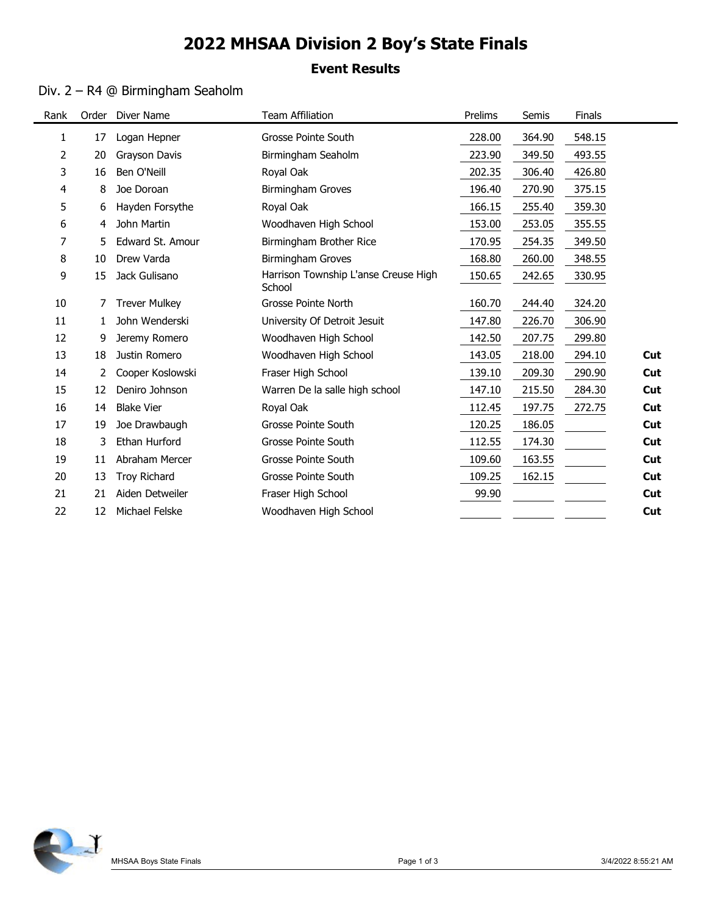# 2022 MHSAA Division 2 Boy's State Finals

### Event Results

### Div. 2 – R4 @ Birmingham Seaholm

|        |                | Div. 2 - R4 @ Birmingham Seaholm | <b>Event Results</b>                           |         |        |        |     |
|--------|----------------|----------------------------------|------------------------------------------------|---------|--------|--------|-----|
| Rank   |                | Order Diver Name                 | <b>Team Affiliation</b>                        | Prelims | Semis  | Finals |     |
| 1      | 17             | Logan Hepner                     | Grosse Pointe South                            | 228.00  | 364.90 | 548.15 |     |
| 2      | 20             | Grayson Davis                    | Birmingham Seaholm                             | 223.90  | 349.50 | 493.55 |     |
| 3      | 16             | Ben O'Neill                      | Royal Oak                                      | 202.35  | 306.40 | 426.80 |     |
| 4      | 8              | Joe Doroan                       | <b>Birmingham Groves</b>                       | 196.40  | 270.90 | 375.15 |     |
| 5      | 6              | Hayden Forsythe                  | Royal Oak                                      | 166.15  | 255.40 | 359.30 |     |
| 6      | 4              | John Martin                      | Woodhaven High School                          | 153.00  | 253.05 | 355.55 |     |
|        | 5.             | Edward St. Amour                 | Birmingham Brother Rice                        | 170.95  | 254.35 | 349.50 |     |
| 8      | 10             | Drew Varda                       | Birmingham Groves                              | 168.80  | 260.00 | 348.55 |     |
| 9      | 15             | Jack Gulisano                    | Harrison Township L'anse Creuse High<br>School | 150.65  | 242.65 | 330.95 |     |
| 10     |                | <b>Trever Mulkey</b>             | Grosse Pointe North                            | 160.70  | 244.40 | 324.20 |     |
| 11     |                | John Wenderski                   | University Of Detroit Jesuit                   | 147.80  | 226.70 | 306.90 |     |
| 12     | 9              | Jeremy Romero                    | Woodhaven High School                          | 142.50  | 207.75 | 299.80 |     |
| $13\,$ | 18             | Justin Romero                    | Woodhaven High School                          | 143.05  | 218.00 | 294.10 | Cut |
| 14     | $\overline{2}$ | Cooper Koslowski                 | Fraser High School                             | 139.10  | 209.30 | 290.90 | Cut |
| 15     | 12             | Deniro Johnson                   | Warren De la salle high school                 | 147.10  | 215.50 | 284.30 | Cut |
| $16\,$ | 14             | <b>Blake Vier</b>                | Royal Oak                                      | 112.45  | 197.75 | 272.75 | Cut |
| $17\,$ | 19             | Joe Drawbaugh                    | Grosse Pointe South                            | 120.25  | 186.05 |        | Cut |
| $18\,$ | 3              | Ethan Hurford                    | Grosse Pointe South                            | 112.55  | 174.30 |        | Cut |
| 19     | 11             | Abraham Mercer                   | Grosse Pointe South                            | 109.60  | 163.55 |        | Cut |
| 20     | 13             | Troy Richard                     | Grosse Pointe South                            | 109.25  | 162.15 |        | Cut |
| 21     | 21             | Aiden Detweiler                  | Fraser High School                             | 99.90   |        |        | Cut |
| 22     | 12             | Michael Felske                   | Woodhaven High School                          |         |        |        | Cut |

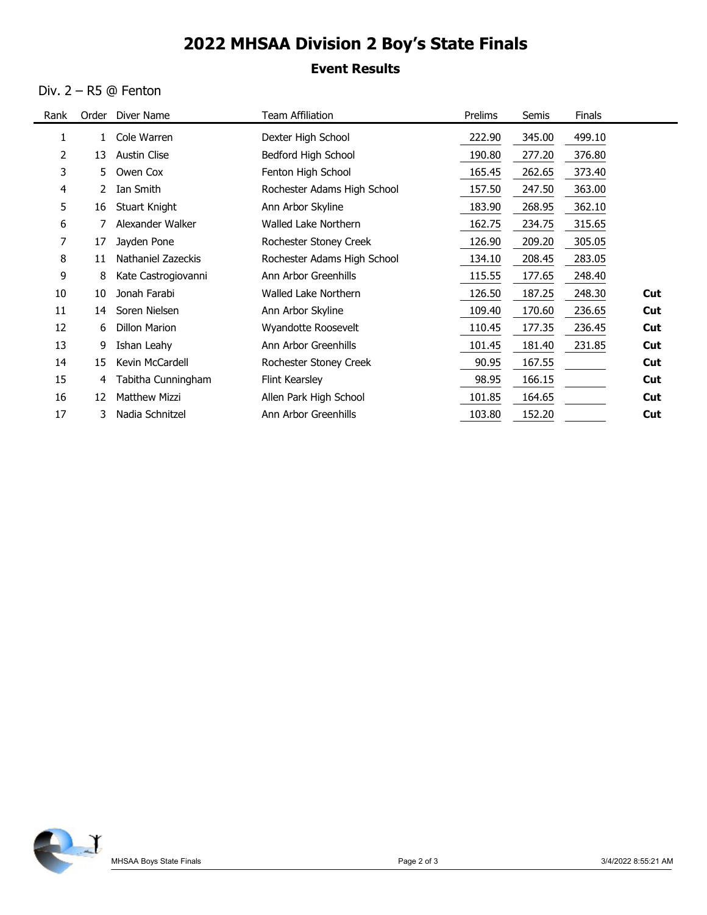# 2022 MHSAA Division 2 Boy's State Finals

### Event Results

#### Div. 2 – R5 @ Fenton

 $\blacksquare$ 

|      |    | Div. 2 – R5 @ Fenton  | <b>Event Results</b>        |         |        |        |            |
|------|----|-----------------------|-----------------------------|---------|--------|--------|------------|
| Rank |    | Order Diver Name      | <b>Team Affiliation</b>     | Prelims | Semis  | Finals |            |
| 1    |    | 1 Cole Warren         | Dexter High School          | 222.90  | 345.00 | 499.10 |            |
| 2    |    | 13 Austin Clise       | Bedford High School         | 190.80  | 277.20 | 376.80 |            |
| 3    |    | 5 Owen Cox            | Fenton High School          | 165.45  | 262.65 | 373.40 |            |
| 4    |    | 2 Ian Smith           | Rochester Adams High School | 157.50  | 247.50 | 363.00 |            |
| 5    | 16 | <b>Stuart Knight</b>  | Ann Arbor Skyline           | 183.90  | 268.95 | 362.10 |            |
| 6    | 7  | Alexander Walker      | Walled Lake Northern        | 162.75  | 234.75 | 315.65 |            |
| 7    | 17 | Jayden Pone           | Rochester Stoney Creek      | 126.90  | 209.20 | 305.05 |            |
| 8    |    | 11 Nathaniel Zazeckis | Rochester Adams High School | 134.10  | 208.45 | 283.05 |            |
| 9    | 8  | Kate Castrogiovanni   | Ann Arbor Greenhills        | 115.55  | 177.65 | 248.40 |            |
| 10   | 10 | Jonah Farabi          | Walled Lake Northern        | 126.50  | 187.25 | 248.30 | Cut        |
| 11   | 14 | Soren Nielsen         | Ann Arbor Skyline           | 109.40  | 170.60 | 236.65 | Cut        |
| 12   | 6  | <b>Dillon Marion</b>  | Wyandotte Roosevelt         | 110.45  | 177.35 | 236.45 | Cut        |
| 13   | 9  | Ishan Leahy           | Ann Arbor Greenhills        | 101.45  | 181.40 | 231.85 | Cut        |
| 14   | 15 | Kevin McCardell       | Rochester Stoney Creek      | 90.95   | 167.55 |        | <b>Cut</b> |
| 15   | 4  | Tabitha Cunningham    | Flint Kearsley              | 98.95   | 166.15 |        | Cut        |
| 16   |    | 12 Matthew Mizzi      | Allen Park High School      | 101.85  | 164.65 |        | Cut        |
| 17   |    | 3 Nadia Schnitzel     | Ann Arbor Greenhills        | 103.80  | 152.20 |        | Cut        |